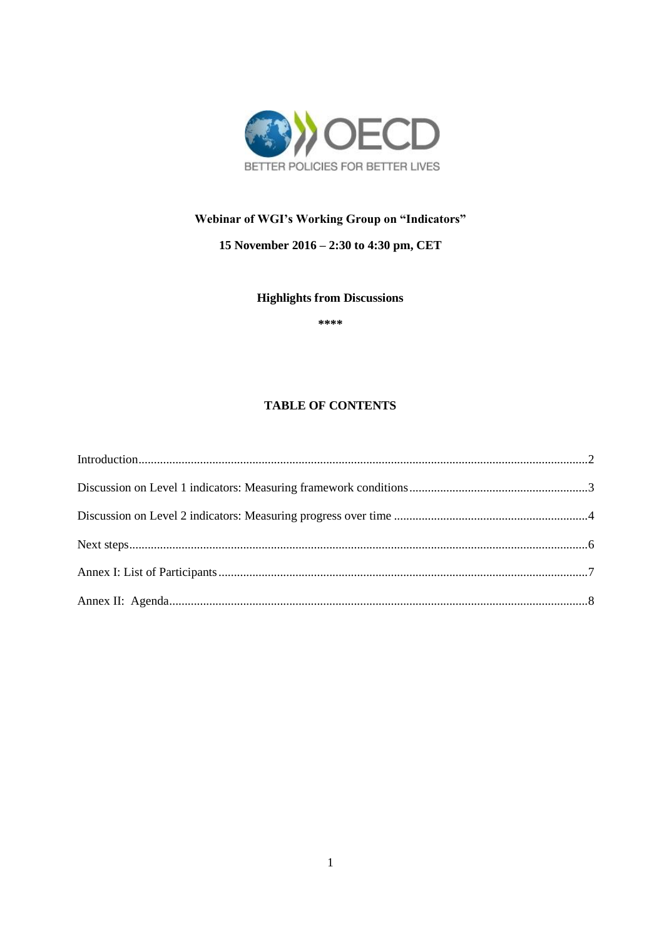

## Webinar of WGI's Working Group on "Indicators"

### 15 November 2016 - 2:30 to 4:30 pm, CET

### **Highlights from Discussions**

\*\*\*\*

### **TABLE OF CONTENTS**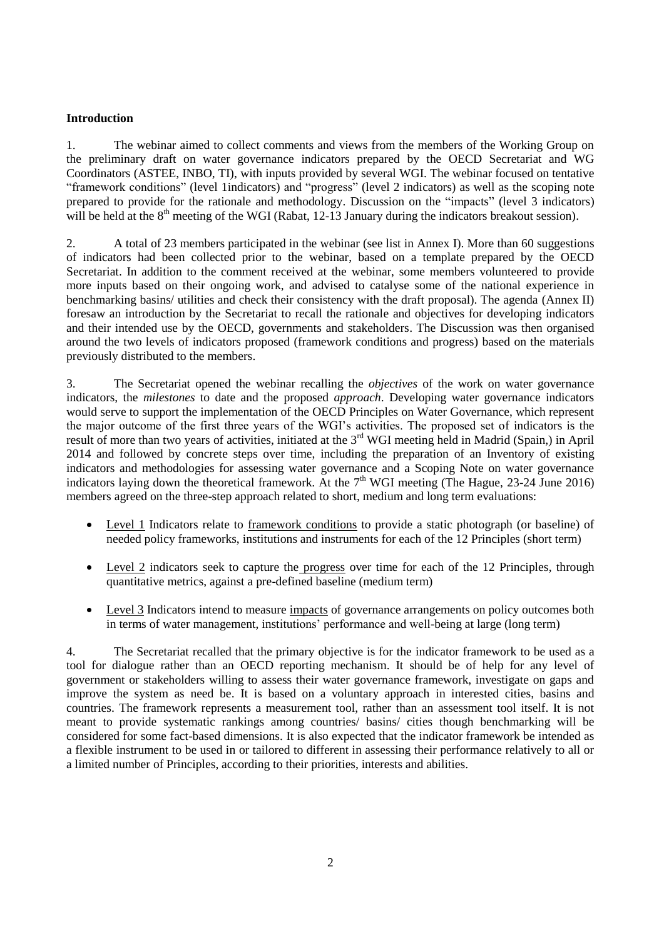### <span id="page-1-0"></span>**Introduction**

1. The webinar aimed to collect comments and views from the members of the Working Group on the preliminary draft on water governance indicators prepared by the OECD Secretariat and WG Coordinators (ASTEE, INBO, TI), with inputs provided by several WGI. The webinar focused on tentative "framework conditions" (level 1indicators) and "progress" (level 2 indicators) as well as the scoping note prepared to provide for the rationale and methodology. Discussion on the "impacts" (level 3 indicators) will be held at the  $8<sup>th</sup>$  meeting of the WGI (Rabat, 12-13 January during the indicators breakout session).

2. A total of 23 members participated in the webinar (see list in Annex I). More than 60 suggestions of indicators had been collected prior to the webinar, based on a template prepared by the OECD Secretariat. In addition to the comment received at the webinar, some members volunteered to provide more inputs based on their ongoing work, and advised to catalyse some of the national experience in benchmarking basins/ utilities and check their consistency with the draft proposal). The agenda (Annex II) foresaw an introduction by the Secretariat to recall the rationale and objectives for developing indicators and their intended use by the OECD, governments and stakeholders. The Discussion was then organised around the two levels of indicators proposed (framework conditions and progress) based on the materials previously distributed to the members.

3. The Secretariat opened the webinar recalling the *objectives* of the work on water governance indicators, the *milestones* to date and the proposed *approach*. Developing water governance indicators would serve to support the implementation of the OECD Principles on Water Governance, which represent the major outcome of the first three years of the WGI's activities. The proposed set of indicators is the result of more than two years of activities, initiated at the 3<sup>rd</sup> WGI meeting held in Madrid (Spain,) in April 2014 and followed by concrete steps over time, including the preparation of an Inventory of existing indicators and methodologies for assessing water governance and a Scoping Note on water governance indicators laying down the theoretical framework. At the  $7<sup>th</sup>$  WGI meeting (The Hague, 23-24 June 2016) members agreed on the three-step approach related to short, medium and long term evaluations:

- Level 1 Indicators relate to framework conditions to provide a static photograph (or baseline) of needed policy frameworks, institutions and instruments for each of the 12 Principles (short term)
- Level 2 indicators seek to capture the progress over time for each of the 12 Principles, through quantitative metrics, against a pre-defined baseline (medium term)
- Level 3 Indicators intend to measure impacts of governance arrangements on policy outcomes both in terms of water management, institutions' performance and well-being at large (long term)

4. The Secretariat recalled that the primary objective is for the indicator framework to be used as a tool for dialogue rather than an OECD reporting mechanism. It should be of help for any level of government or stakeholders willing to assess their water governance framework, investigate on gaps and improve the system as need be. It is based on a voluntary approach in interested cities, basins and countries. The framework represents a measurement tool, rather than an assessment tool itself. It is not meant to provide systematic rankings among countries/ basins/ cities though benchmarking will be considered for some fact-based dimensions. It is also expected that the indicator framework be intended as a flexible instrument to be used in or tailored to different in assessing their performance relatively to all or a limited number of Principles, according to their priorities, interests and abilities.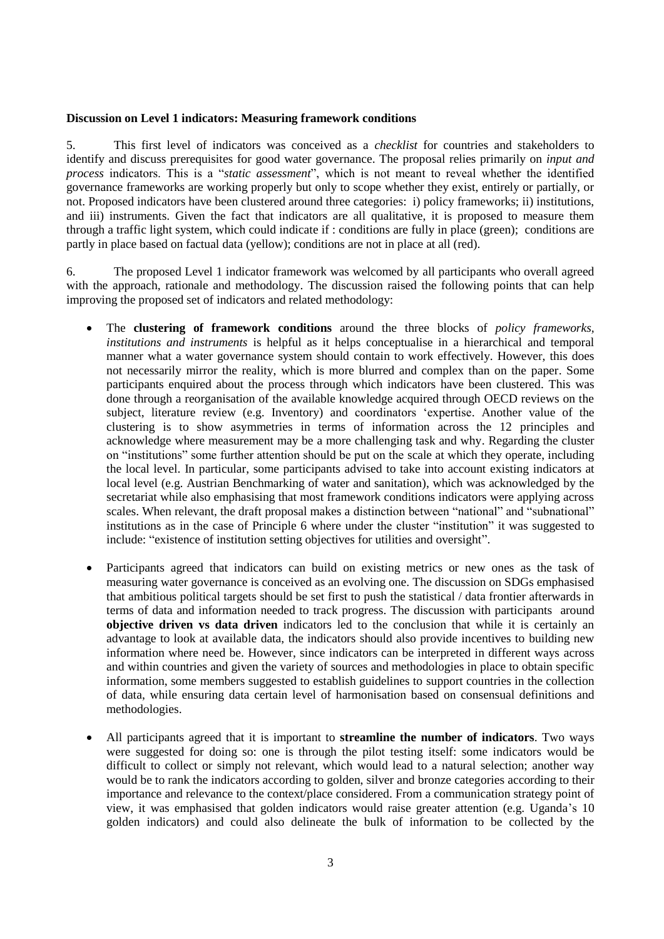### <span id="page-2-0"></span>**Discussion on Level 1 indicators: Measuring framework conditions**

5. This first level of indicators was conceived as a *checklist* for countries and stakeholders to identify and discuss prerequisites for good water governance. The proposal relies primarily on *input and process* indicators. This is a "*static assessment*", which is not meant to reveal whether the identified governance frameworks are working properly but only to scope whether they exist, entirely or partially, or not. Proposed indicators have been clustered around three categories: i) policy frameworks; ii) institutions, and iii) instruments. Given the fact that indicators are all qualitative, it is proposed to measure them through a traffic light system, which could indicate if : conditions are fully in place (green); conditions are partly in place based on factual data (yellow); conditions are not in place at all (red).

6. The proposed Level 1 indicator framework was welcomed by all participants who overall agreed with the approach, rationale and methodology. The discussion raised the following points that can help improving the proposed set of indicators and related methodology:

- The **clustering of framework conditions** around the three blocks of *policy frameworks, institutions and instruments* is helpful as it helps conceptualise in a hierarchical and temporal manner what a water governance system should contain to work effectively. However, this does not necessarily mirror the reality, which is more blurred and complex than on the paper. Some participants enquired about the process through which indicators have been clustered. This was done through a reorganisation of the available knowledge acquired through OECD reviews on the subject, literature review (e.g. Inventory) and coordinators 'expertise. Another value of the clustering is to show asymmetries in terms of information across the 12 principles and acknowledge where measurement may be a more challenging task and why. Regarding the cluster on "institutions" some further attention should be put on the scale at which they operate, including the local level. In particular, some participants advised to take into account existing indicators at local level (e.g. Austrian Benchmarking of water and sanitation), which was acknowledged by the secretariat while also emphasising that most framework conditions indicators were applying across scales. When relevant, the draft proposal makes a distinction between "national" and "subnational" institutions as in the case of Principle 6 where under the cluster "institution" it was suggested to include: "existence of institution setting objectives for utilities and oversight".
- Participants agreed that indicators can build on existing metrics or new ones as the task of measuring water governance is conceived as an evolving one. The discussion on SDGs emphasised that ambitious political targets should be set first to push the statistical / data frontier afterwards in terms of data and information needed to track progress. The discussion with participants around **objective driven vs data driven** indicators led to the conclusion that while it is certainly an advantage to look at available data, the indicators should also provide incentives to building new information where need be. However, since indicators can be interpreted in different ways across and within countries and given the variety of sources and methodologies in place to obtain specific information, some members suggested to establish guidelines to support countries in the collection of data, while ensuring data certain level of harmonisation based on consensual definitions and methodologies.
- All participants agreed that it is important to **streamline the number of indicators**. Two ways were suggested for doing so: one is through the pilot testing itself: some indicators would be difficult to collect or simply not relevant, which would lead to a natural selection; another way would be to rank the indicators according to golden, silver and bronze categories according to their importance and relevance to the context/place considered. From a communication strategy point of view, it was emphasised that golden indicators would raise greater attention (e.g. Uganda's 10 golden indicators) and could also delineate the bulk of information to be collected by the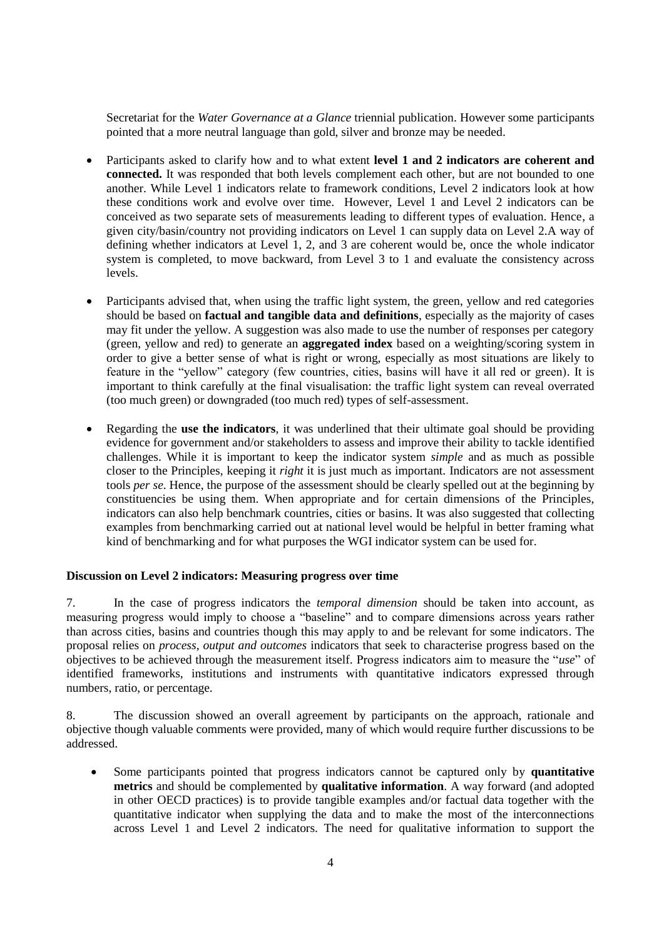Secretariat for the *Water Governance at a Glance* triennial publication. However some participants pointed that a more neutral language than gold, silver and bronze may be needed.

- Participants asked to clarify how and to what extent **level 1 and 2 indicators are coherent and connected.** It was responded that both levels complement each other, but are not bounded to one another. While Level 1 indicators relate to framework conditions, Level 2 indicators look at how these conditions work and evolve over time. However, Level 1 and Level 2 indicators can be conceived as two separate sets of measurements leading to different types of evaluation. Hence, a given city/basin/country not providing indicators on Level 1 can supply data on Level 2.A way of defining whether indicators at Level 1, 2, and 3 are coherent would be, once the whole indicator system is completed, to move backward, from Level 3 to 1 and evaluate the consistency across levels.
- Participants advised that, when using the traffic light system, the green, yellow and red categories should be based on **factual and tangible data and definitions**, especially as the majority of cases may fit under the yellow. A suggestion was also made to use the number of responses per category (green, yellow and red) to generate an **aggregated index** based on a weighting/scoring system in order to give a better sense of what is right or wrong, especially as most situations are likely to feature in the "yellow" category (few countries, cities, basins will have it all red or green). It is important to think carefully at the final visualisation: the traffic light system can reveal overrated (too much green) or downgraded (too much red) types of self-assessment.
- Regarding the **use the indicators**, it was underlined that their ultimate goal should be providing evidence for government and/or stakeholders to assess and improve their ability to tackle identified challenges. While it is important to keep the indicator system *simple* and as much as possible closer to the Principles, keeping it *right* it is just much as important. Indicators are not assessment tools *per se*. Hence, the purpose of the assessment should be clearly spelled out at the beginning by constituencies be using them. When appropriate and for certain dimensions of the Principles, indicators can also help benchmark countries, cities or basins. It was also suggested that collecting examples from benchmarking carried out at national level would be helpful in better framing what kind of benchmarking and for what purposes the WGI indicator system can be used for.

### <span id="page-3-0"></span>**Discussion on Level 2 indicators: Measuring progress over time**

7. In the case of progress indicators the *temporal dimension* should be taken into account, as measuring progress would imply to choose a "baseline" and to compare dimensions across years rather than across cities, basins and countries though this may apply to and be relevant for some indicators. The proposal relies on *process, output and outcomes* indicators that seek to characterise progress based on the objectives to be achieved through the measurement itself. Progress indicators aim to measure the "*use*" of identified frameworks, institutions and instruments with quantitative indicators expressed through numbers, ratio, or percentage.

8. The discussion showed an overall agreement by participants on the approach, rationale and objective though valuable comments were provided, many of which would require further discussions to be addressed.

 Some participants pointed that progress indicators cannot be captured only by **quantitative metrics** and should be complemented by **qualitative information**. A way forward (and adopted in other OECD practices) is to provide tangible examples and/or factual data together with the quantitative indicator when supplying the data and to make the most of the interconnections across Level 1 and Level 2 indicators. The need for qualitative information to support the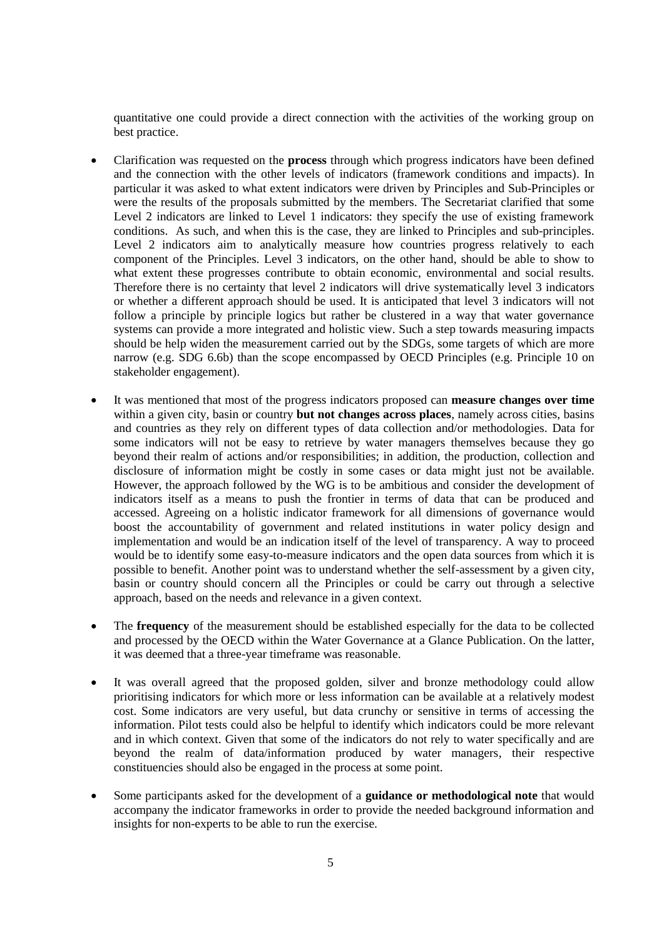quantitative one could provide a direct connection with the activities of the working group on best practice.

- Clarification was requested on the **process** through which progress indicators have been defined and the connection with the other levels of indicators (framework conditions and impacts). In particular it was asked to what extent indicators were driven by Principles and Sub-Principles or were the results of the proposals submitted by the members. The Secretariat clarified that some Level 2 indicators are linked to Level 1 indicators: they specify the use of existing framework conditions. As such, and when this is the case, they are linked to Principles and sub-principles. Level 2 indicators aim to analytically measure how countries progress relatively to each component of the Principles. Level 3 indicators, on the other hand, should be able to show to what extent these progresses contribute to obtain economic, environmental and social results. Therefore there is no certainty that level 2 indicators will drive systematically level 3 indicators or whether a different approach should be used. It is anticipated that level 3 indicators will not follow a principle by principle logics but rather be clustered in a way that water governance systems can provide a more integrated and holistic view. Such a step towards measuring impacts should be help widen the measurement carried out by the SDGs, some targets of which are more narrow (e.g. SDG 6.6b) than the scope encompassed by OECD Principles (e.g. Principle 10 on stakeholder engagement).
- It was mentioned that most of the progress indicators proposed can **measure changes over time**  within a given city, basin or country **but not changes across places**, namely across cities, basins and countries as they rely on different types of data collection and/or methodologies. Data for some indicators will not be easy to retrieve by water managers themselves because they go beyond their realm of actions and/or responsibilities; in addition, the production, collection and disclosure of information might be costly in some cases or data might just not be available. However, the approach followed by the WG is to be ambitious and consider the development of indicators itself as a means to push the frontier in terms of data that can be produced and accessed. Agreeing on a holistic indicator framework for all dimensions of governance would boost the accountability of government and related institutions in water policy design and implementation and would be an indication itself of the level of transparency. A way to proceed would be to identify some easy-to-measure indicators and the open data sources from which it is possible to benefit. Another point was to understand whether the self-assessment by a given city, basin or country should concern all the Principles or could be carry out through a selective approach, based on the needs and relevance in a given context.
- The **frequency** of the measurement should be established especially for the data to be collected and processed by the OECD within the Water Governance at a Glance Publication. On the latter, it was deemed that a three-year timeframe was reasonable.
- It was overall agreed that the proposed golden, silver and bronze methodology could allow prioritising indicators for which more or less information can be available at a relatively modest cost. Some indicators are very useful, but data crunchy or sensitive in terms of accessing the information. Pilot tests could also be helpful to identify which indicators could be more relevant and in which context. Given that some of the indicators do not rely to water specifically and are beyond the realm of data/information produced by water managers, their respective constituencies should also be engaged in the process at some point.
- Some participants asked for the development of a **guidance or methodological note** that would accompany the indicator frameworks in order to provide the needed background information and insights for non-experts to be able to run the exercise.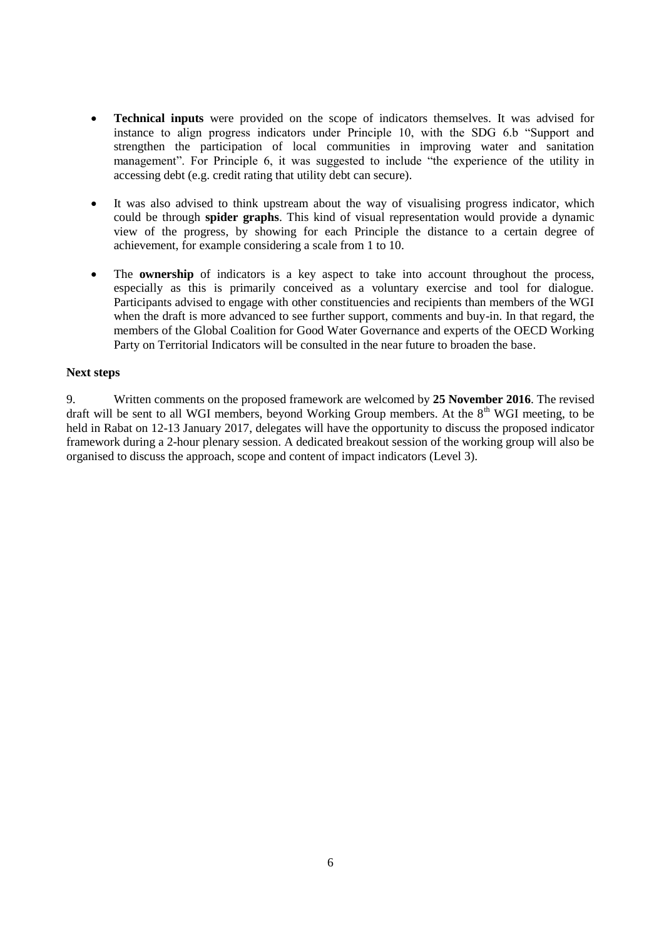- **Technical inputs** were provided on the scope of indicators themselves. It was advised for instance to align progress indicators under Principle 10, with the SDG 6.b "Support and strengthen the participation of local communities in improving water and sanitation management". For Principle 6, it was suggested to include "the experience of the utility in accessing debt (e.g. credit rating that utility debt can secure).
- It was also advised to think upstream about the way of visualising progress indicator, which could be through **spider graphs**. This kind of visual representation would provide a dynamic view of the progress, by showing for each Principle the distance to a certain degree of achievement, for example considering a scale from 1 to 10.
- The **ownership** of indicators is a key aspect to take into account throughout the process, especially as this is primarily conceived as a voluntary exercise and tool for dialogue. Participants advised to engage with other constituencies and recipients than members of the WGI when the draft is more advanced to see further support, comments and buy-in. In that regard, the members of the Global Coalition for Good Water Governance and experts of the OECD Working Party on Territorial Indicators will be consulted in the near future to broaden the base.

### <span id="page-5-0"></span>**Next steps**

9. Written comments on the proposed framework are welcomed by **25 November 2016**. The revised draft will be sent to all WGI members, beyond Working Group members. At the 8<sup>th</sup> WGI meeting, to be held in Rabat on 12-13 January 2017, delegates will have the opportunity to discuss the proposed indicator framework during a 2-hour plenary session. A dedicated breakout session of the working group will also be organised to discuss the approach, scope and content of impact indicators (Level 3).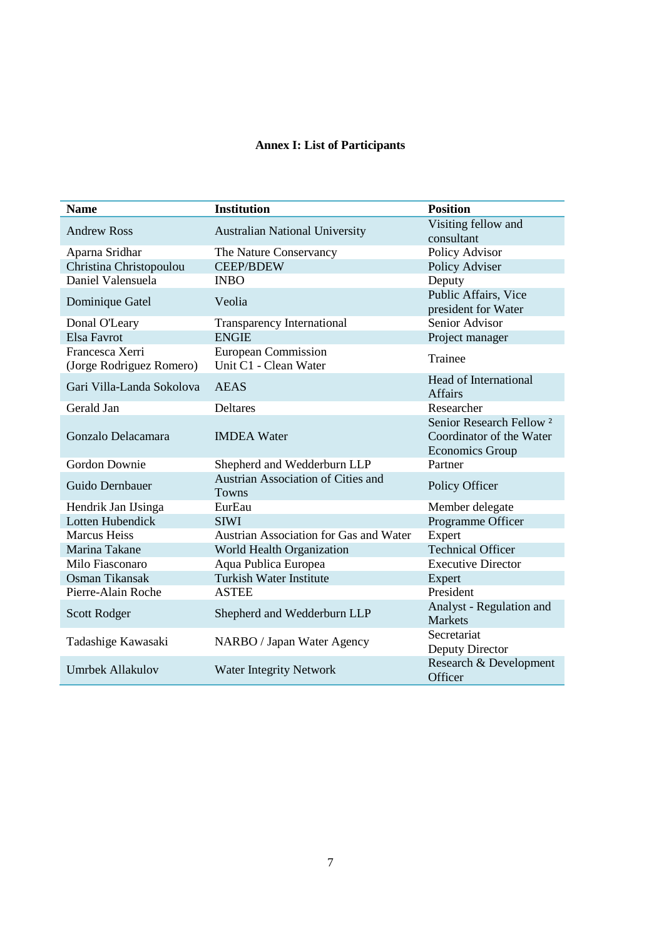# **Annex I: List of Participants**

<span id="page-6-0"></span>

| <b>Name</b>                                 | <b>Institution</b>                                  | <b>Position</b>                                                                           |
|---------------------------------------------|-----------------------------------------------------|-------------------------------------------------------------------------------------------|
| <b>Andrew Ross</b>                          | <b>Australian National University</b>               | Visiting fellow and<br>consultant                                                         |
| Aparna Sridhar                              | The Nature Conservancy                              | Policy Advisor                                                                            |
| Christina Christopoulou                     | <b>CEEP/BDEW</b>                                    | Policy Adviser                                                                            |
| Daniel Valensuela                           | <b>INBO</b>                                         | Deputy                                                                                    |
| Dominique Gatel                             | Veolia                                              | Public Affairs, Vice<br>president for Water                                               |
| Donal O'Leary                               | <b>Transparency International</b>                   | Senior Advisor                                                                            |
| Elsa Favrot                                 | <b>ENGIE</b>                                        | Project manager                                                                           |
| Francesca Xerri<br>(Jorge Rodriguez Romero) | <b>European Commission</b><br>Unit C1 - Clean Water | Trainee                                                                                   |
| Gari Villa-Landa Sokolova                   | <b>AEAS</b>                                         | Head of International<br><b>Affairs</b>                                                   |
| Gerald Jan                                  | <b>Deltares</b>                                     | Researcher                                                                                |
| Gonzalo Delacamara                          | <b>IMDEA</b> Water                                  | Senior Research Fellow <sup>2</sup><br>Coordinator of the Water<br><b>Economics Group</b> |
| Gordon Downie                               | Shepherd and Wedderburn LLP                         | Partner                                                                                   |
| Guido Dernbauer                             | <b>Austrian Association of Cities and</b><br>Towns  | Policy Officer                                                                            |
| Hendrik Jan IJsinga                         | EurEau                                              | Member delegate                                                                           |
| Lotten Hubendick                            | <b>SIWI</b>                                         | Programme Officer                                                                         |
| <b>Marcus Heiss</b>                         | Austrian Association for Gas and Water              | Expert                                                                                    |
| Marina Takane                               | World Health Organization                           | <b>Technical Officer</b>                                                                  |
| Milo Fiasconaro                             | Aqua Publica Europea                                | <b>Executive Director</b>                                                                 |
| Osman Tikansak                              | <b>Turkish Water Institute</b>                      | Expert                                                                                    |
| Pierre-Alain Roche                          | <b>ASTEE</b>                                        | President                                                                                 |
| <b>Scott Rodger</b>                         | Shepherd and Wedderburn LLP                         | Analyst - Regulation and<br><b>Markets</b>                                                |
| Tadashige Kawasaki                          | NARBO / Japan Water Agency                          | Secretariat<br>Deputy Director                                                            |
| Umrbek Allakulov                            | <b>Water Integrity Network</b>                      | Research & Development<br>Officer                                                         |